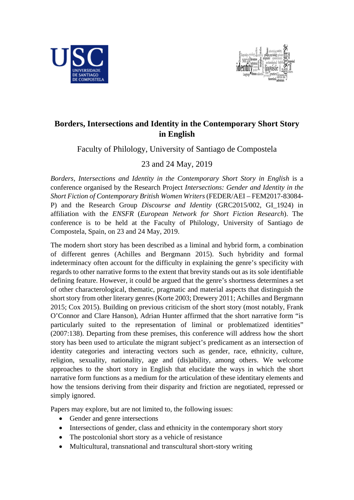



# **Borders, Intersections and Identity in the Contemporary Short Story in English**

Faculty of Philology, University of Santiago de Compostela

## 23 and 24 May, 2019

*Borders, Intersections and Identity in the Contemporary Short Story in English* is a conference organised by the Research Project *Intersections: Gender and Identity in the Short Fiction of Contemporary British Women Writers* (FEDER/AEI – FEM2017-83084- P) and the Research Group *Discourse and Identity* (GRC2015/002, GI\_1924) in affiliation with the *ENSFR* (*European Network for Short Fiction Research*). The conference is to be held at the Faculty of Philology, University of Santiago de Compostela, Spain, on 23 and 24 May, 2019.

The modern short story has been described as a liminal and hybrid form, a combination of different genres (Achilles and Bergmann 2015). Such hybridity and formal indeterminacy often account for the difficulty in explaining the genre's specificity with regards to other narrative forms to the extent that brevity stands out as its sole identifiable defining feature. However, it could be argued that the genre's shortness determines a set of other characterological, thematic, pragmatic and material aspects that distinguish the short story from other literary genres (Korte 2003; Drewery 2011; Achilles and Bergmann 2015; Cox 2015). Building on previous criticism of the short story (most notably, Frank O'Connor and Clare Hanson), Adrian Hunter affirmed that the short narrative form "is particularly suited to the representation of liminal or problematized identities" (2007:138). Departing from these premises, this conference will address how the short story has been used to articulate the migrant subject's predicament as an intersection of identity categories and interacting vectors such as gender, race, ethnicity, culture, religion, sexuality, nationality, age and (dis)ability, among others. We welcome approaches to the short story in English that elucidate the ways in which the short narrative form functions as a medium for the articulation of these identitary elements and how the tensions deriving from their disparity and friction are negotiated, repressed or simply ignored.

Papers may explore, but are not limited to, the following issues:

- Gender and genre intersections
- Intersections of gender, class and ethnicity in the contemporary short story
- The postcolonial short story as a vehicle of resistance
- Multicultural, transnational and transcultural short-story writing